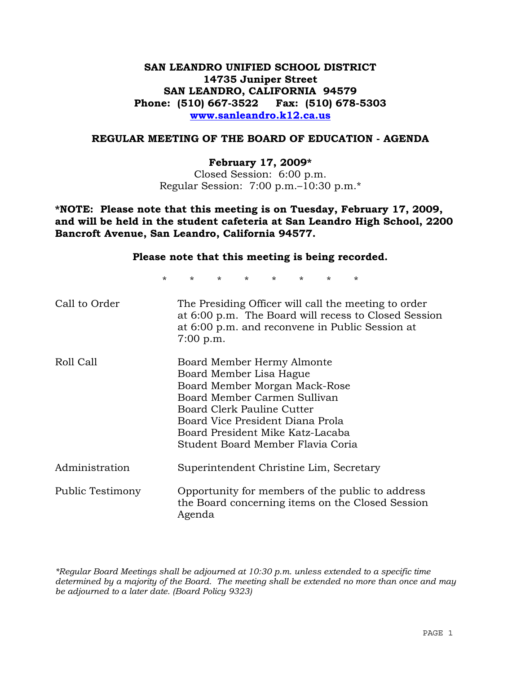## **SAN LEANDRO UNIFIED SCHOOL DISTRICT 14735 Juniper Street SAN LEANDRO, CALIFORNIA 94579 Phone: (510) 667-3522 Fax: (510) 678-5303 www.sanleandro.k12.ca.us**

### **REGULAR MEETING OF THE BOARD OF EDUCATION - AGENDA**

#### **February 17, 2009\***

Closed Session: 6:00 p.m. Regular Session: 7:00 p.m.–10:30 p.m.\*

**\*NOTE: Please note that this meeting is on Tuesday, February 17, 2009, and will be held in the student cafeteria at San Leandro High School, 2200 Bancroft Avenue, San Leandro, California 94577.**

#### **Please note that this meeting is being recorded.**

\* \* \* \* \* \* \* \*

| Call to Order    | The Presiding Officer will call the meeting to order<br>at 6:00 p.m. The Board will recess to Closed Session<br>at 6:00 p.m. and reconvene in Public Session at<br>$7:00$ p.m.                                                                                    |
|------------------|-------------------------------------------------------------------------------------------------------------------------------------------------------------------------------------------------------------------------------------------------------------------|
| Roll Call        | Board Member Hermy Almonte<br>Board Member Lisa Hague<br>Board Member Morgan Mack-Rose<br>Board Member Carmen Sullivan<br>Board Clerk Pauline Cutter<br>Board Vice President Diana Prola<br>Board President Mike Katz-Lacaba<br>Student Board Member Flavia Coria |
| Administration   | Superintendent Christine Lim, Secretary                                                                                                                                                                                                                           |
| Public Testimony | Opportunity for members of the public to address<br>the Board concerning items on the Closed Session<br>Agenda                                                                                                                                                    |

*\*Regular Board Meetings shall be adjourned at 10:30 p.m. unless extended to a specific time determined by a majority of the Board. The meeting shall be extended no more than once and may be adjourned to a later date. (Board Policy 9323)*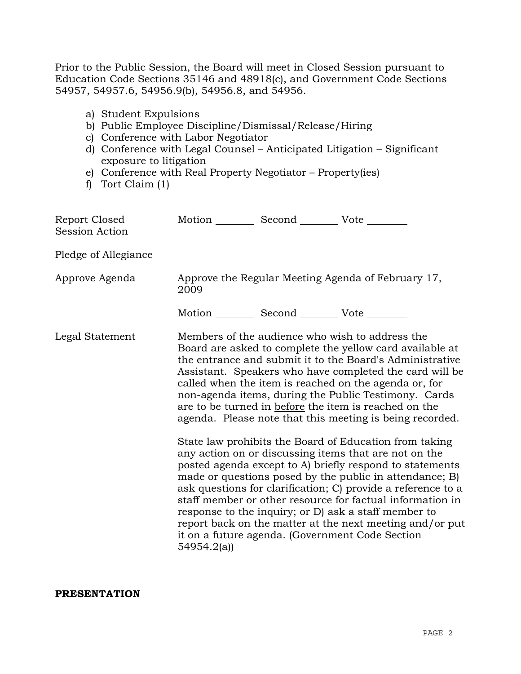Prior to the Public Session, the Board will meet in Closed Session pursuant to Education Code Sections 35146 and 48918(c), and Government Code Sections 54957, 54957.6, 54956.9(b), 54956.8, and 54956.

- a) Student Expulsions
- b) Public Employee Discipline/Dismissal/Release/Hiring
- c) Conference with Labor Negotiator
- d) Conference with Legal Counsel Anticipated Litigation Significant exposure to litigation
- e) Conference with Real Property Negotiator Property(ies)
- f) Tort Claim (1)

| Report Closed<br>Session Action | Motion __________ Second __________ Vote ________          |  |                                                                                                                                                                                                                                                                                                                                                                                                                                                                                                                                                                                                                                                         |
|---------------------------------|------------------------------------------------------------|--|---------------------------------------------------------------------------------------------------------------------------------------------------------------------------------------------------------------------------------------------------------------------------------------------------------------------------------------------------------------------------------------------------------------------------------------------------------------------------------------------------------------------------------------------------------------------------------------------------------------------------------------------------------|
| Pledge of Allegiance            |                                                            |  |                                                                                                                                                                                                                                                                                                                                                                                                                                                                                                                                                                                                                                                         |
| Approve Agenda                  | Approve the Regular Meeting Agenda of February 17,<br>2009 |  |                                                                                                                                                                                                                                                                                                                                                                                                                                                                                                                                                                                                                                                         |
|                                 | Motion ___________ Second ____________ Vote _________      |  |                                                                                                                                                                                                                                                                                                                                                                                                                                                                                                                                                                                                                                                         |
| Legal Statement                 |                                                            |  | Members of the audience who wish to address the<br>Board are asked to complete the yellow card available at<br>the entrance and submit it to the Board's Administrative<br>Assistant. Speakers who have completed the card will be<br>called when the item is reached on the agenda or, for<br>non-agenda items, during the Public Testimony. Cards<br>are to be turned in before the item is reached on the<br>agenda. Please note that this meeting is being recorded.<br>State law prohibits the Board of Education from taking<br>any action on or discussing items that are not on the<br>posted agenda except to A) briefly respond to statements |
|                                 | 54954.2(a)                                                 |  | made or questions posed by the public in attendance; B)<br>ask questions for clarification; C) provide a reference to a<br>staff member or other resource for factual information in<br>response to the inquiry; or D) ask a staff member to<br>report back on the matter at the next meeting and/or put<br>it on a future agenda. (Government Code Section                                                                                                                                                                                                                                                                                             |

**PRESENTATION**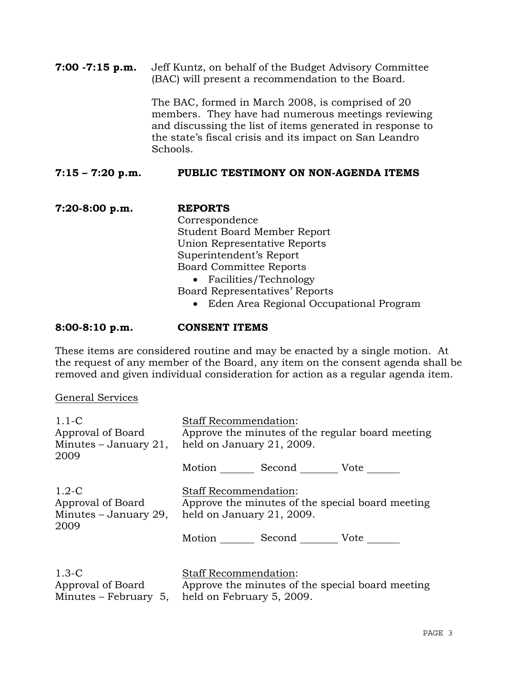**7:00 -7:15 p.m.** Jeff Kuntz, on behalf of the Budget Advisory Committee (BAC) will present a recommendation to the Board.

> The BAC, formed in March 2008, is comprised of 20 members. They have had numerous meetings reviewing and discussing the list of items generated in response to the state's fiscal crisis and its impact on San Leandro Schools.

## **7:15 – 7:20 p.m. PUBLIC TESTIMONY ON NON-AGENDA ITEMS**

**7:20-8:00 p.m. REPORTS** Correspondence Student Board Member Report Union Representative Reports Superintendent's Report Board Committee Reports • Facilities/Technology Board Representatives' Reports • Eden Area Regional Occupational Program

### **8:00-8:10 p.m. CONSENT ITEMS**

These items are considered routine and may be enacted by a single motion. At the request of any member of the Board, any item on the consent agenda shall be removed and given individual consideration for action as a regular agenda item.

### General Services

| $1.1 - C$                    | <b>Staff Recommendation:</b>                                                                                                        |
|------------------------------|-------------------------------------------------------------------------------------------------------------------------------------|
| Approval of Board            | Approve the minutes of the regular board meeting                                                                                    |
| Minutes $-$ January 21,      | held on January 21, 2009.                                                                                                           |
| 2009                         | Motion Second Vote                                                                                                                  |
| $1.2-C$                      | <b>Staff Recommendation:</b>                                                                                                        |
| Approval of Board            | Approve the minutes of the special board meeting                                                                                    |
| Minutes – January 29,        | held on January 21, 2009.                                                                                                           |
| 2009                         | Motion Second Vote                                                                                                                  |
| $1.3-C$<br>Approval of Board | <b>Staff Recommendation:</b><br>Approve the minutes of the special board meeting<br>Minutes – February 5, held on February 5, 2009. |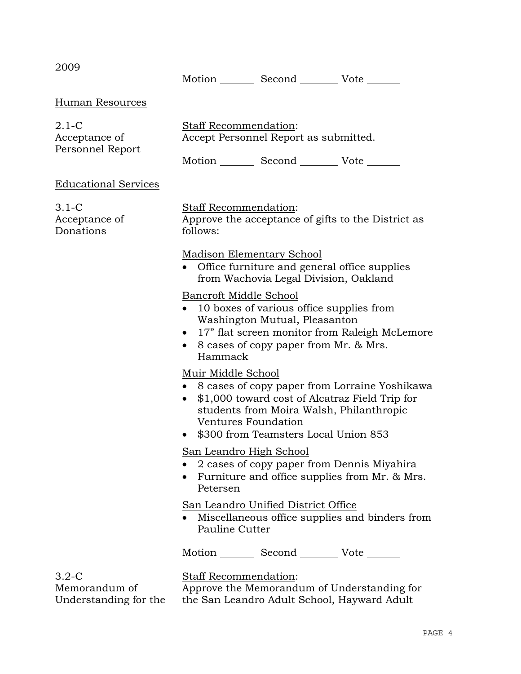| 2009                                                | Motion _________ Second __________ Vote _______                                                                                                                                                                                                              |
|-----------------------------------------------------|--------------------------------------------------------------------------------------------------------------------------------------------------------------------------------------------------------------------------------------------------------------|
| Human Resources                                     |                                                                                                                                                                                                                                                              |
| $2.1-C$<br>Acceptance of<br>Personnel Report        | Staff Recommendation:<br>Accept Personnel Report as submitted.<br>Motion _________ Second __________ Vote _______                                                                                                                                            |
| <b>Educational Services</b>                         |                                                                                                                                                                                                                                                              |
| $3.1-C$<br>Acceptance of<br>Donations               | Staff Recommendation:<br>Approve the acceptance of gifts to the District as<br>follows:                                                                                                                                                                      |
|                                                     | <b>Madison Elementary School</b><br>• Office furniture and general office supplies<br>from Wachovia Legal Division, Oakland                                                                                                                                  |
|                                                     | Bancroft Middle School<br>• 10 boxes of various office supplies from<br>Washington Mutual, Pleasanton<br>• 17" flat screen monitor from Raleigh McLemore<br>• 8 cases of copy paper from Mr. & Mrs.<br>Hammack                                               |
|                                                     | Muir Middle School<br>• 8 cases of copy paper from Lorraine Yoshikawa<br>\$1,000 toward cost of Alcatraz Field Trip for<br>$\bullet$<br>students from Moira Walsh, Philanthropic<br>Ventures Foundation<br>\$300 from Teamsters Local Union 853<br>$\bullet$ |
|                                                     | San Leandro High School<br>2 cases of copy paper from Dennis Miyahira<br>• Furniture and office supplies from Mr. & Mrs.<br>Petersen                                                                                                                         |
|                                                     | San Leandro Unified District Office<br>• Miscellaneous office supplies and binders from<br>Pauline Cutter                                                                                                                                                    |
|                                                     | Motion _________ Second ___________ Vote _______                                                                                                                                                                                                             |
| $3.2 - C$<br>Memorandum of<br>Understanding for the | Staff Recommendation:<br>Approve the Memorandum of Understanding for<br>the San Leandro Adult School, Hayward Adult                                                                                                                                          |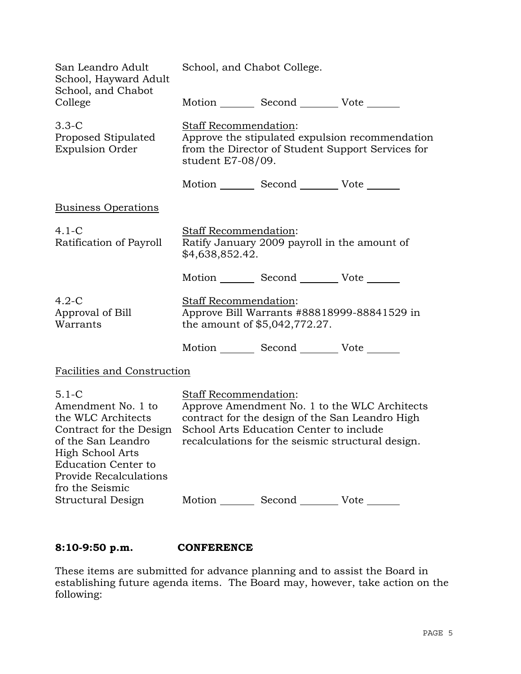| San Leandro Adult<br>School, Hayward Adult<br>School, and Chabot                                                                                                                                           | School, and Chabot College.                                                                                                                        |                                                  |                                                                                                                                                       |
|------------------------------------------------------------------------------------------------------------------------------------------------------------------------------------------------------------|----------------------------------------------------------------------------------------------------------------------------------------------------|--------------------------------------------------|-------------------------------------------------------------------------------------------------------------------------------------------------------|
| College                                                                                                                                                                                                    |                                                                                                                                                    | Motion _________ Second __________ Vote _______  |                                                                                                                                                       |
| $3.3-C$<br>Proposed Stipulated<br><b>Expulsion Order</b>                                                                                                                                                   | Staff Recommendation:<br>Approve the stipulated expulsion recommendation<br>from the Director of Student Support Services for<br>student E7-08/09. |                                                  |                                                                                                                                                       |
|                                                                                                                                                                                                            |                                                                                                                                                    | Motion _________ Second __________ Vote _______  |                                                                                                                                                       |
| <b>Business Operations</b>                                                                                                                                                                                 |                                                                                                                                                    |                                                  |                                                                                                                                                       |
| $4.1-C$<br>Ratification of Payroll                                                                                                                                                                         | <b>Staff Recommendation:</b><br>\$4,638,852.42.                                                                                                    | Ratify January 2009 payroll in the amount of     |                                                                                                                                                       |
|                                                                                                                                                                                                            |                                                                                                                                                    | Motion Second Vote                               |                                                                                                                                                       |
| $4.2-C$<br>Approval of Bill<br>Warrants                                                                                                                                                                    | Staff Recommendation:<br>Approve Bill Warrants #88818999-88841529 in<br>the amount of \$5,042,772.27.                                              |                                                  |                                                                                                                                                       |
|                                                                                                                                                                                                            |                                                                                                                                                    | Motion _________ Second __________ Vote _______  |                                                                                                                                                       |
| <b>Facilities and Construction</b>                                                                                                                                                                         |                                                                                                                                                    |                                                  |                                                                                                                                                       |
| $5.1-C$<br>Amendment No. 1 to<br>the WLC Architects<br>Contract for the Design<br>of the San Leandro<br>High School Arts<br><b>Education Center to</b><br><b>Provide Recalculations</b><br>fro the Seismic | Staff Recommendation:                                                                                                                              | School Arts Education Center to include          | Approve Amendment No. 1 to the WLC Architects<br>contract for the design of the San Leandro High<br>recalculations for the seismic structural design. |
| Structural Design                                                                                                                                                                                          |                                                                                                                                                    | Motion _________ Second ___________ Vote _______ |                                                                                                                                                       |

# **8:10-9:50 p.m. CONFERENCE**

These items are submitted for advance planning and to assist the Board in establishing future agenda items. The Board may, however, take action on the following: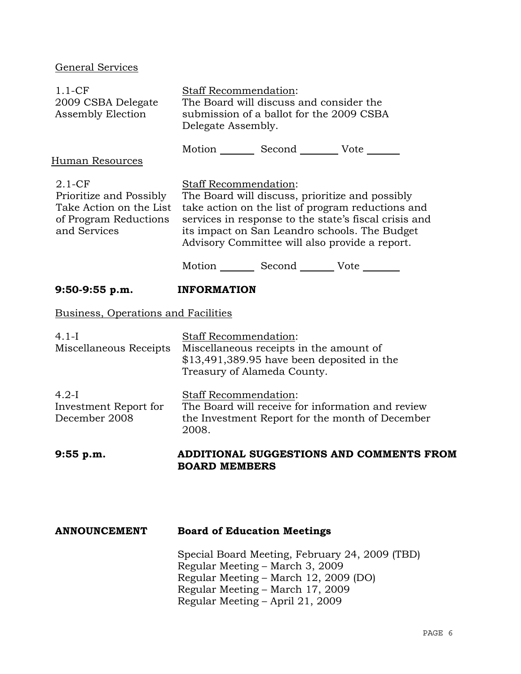# General Services

| $1.1-CF$<br>2009 CSBA Delegate<br>Assembly Election                                                       | Staff Recommendation:<br>The Board will discuss and consider the<br>submission of a ballot for the 2009 CSBA<br>Delegate Assembly.                                                                                                                                                               |  |  |
|-----------------------------------------------------------------------------------------------------------|--------------------------------------------------------------------------------------------------------------------------------------------------------------------------------------------------------------------------------------------------------------------------------------------------|--|--|
| Human Resources                                                                                           | Motion _________ Second __________ Vote _______                                                                                                                                                                                                                                                  |  |  |
| $2.1 - CF$<br>Prioritize and Possibly<br>Take Action on the List<br>of Program Reductions<br>and Services | <b>Staff Recommendation:</b><br>The Board will discuss, prioritize and possibly<br>take action on the list of program reductions and<br>services in response to the state's fiscal crisis and<br>its impact on San Leandro schools. The Budget<br>Advisory Committee will also provide a report. |  |  |
|                                                                                                           | Motion _________ Second _________ Vote ________                                                                                                                                                                                                                                                  |  |  |
| $9:50-9:55 p.m.$                                                                                          | <b>INFORMATION</b>                                                                                                                                                                                                                                                                               |  |  |
| <b>Business, Operations and Facilities</b>                                                                |                                                                                                                                                                                                                                                                                                  |  |  |
| $4.1-I$<br>Miscellaneous Receipts                                                                         | Staff Recommendation:<br>Miscellaneous receipts in the amount of<br>$$13,491,389.95$ have been deposited in the<br>Treasury of Alameda County.                                                                                                                                                   |  |  |
| $4.2-I$<br>Investment Report for<br>December 2008                                                         | Staff Recommendation:<br>The Board will receive for information and review<br>the Investment Report for the month of December<br>2008.                                                                                                                                                           |  |  |
| $9:55$ p.m.                                                                                               | ADDITIONAL SUGGESTIONS AND COMMENTS FROM<br><b>BOARD MEMBERS</b>                                                                                                                                                                                                                                 |  |  |
|                                                                                                           |                                                                                                                                                                                                                                                                                                  |  |  |
| <b>ANNOUNCEMENT</b>                                                                                       | <b>Board of Education Meetings</b>                                                                                                                                                                                                                                                               |  |  |
|                                                                                                           | Special Board Meeting, February 24, 2009 (TBD)<br>Regular Meeting – March 3, 2009<br>Regular Meeting - March 12, 2009 (DO)<br>Regular Meeting - March 17, 2009<br>Regular Meeting – April 21, 2009                                                                                               |  |  |